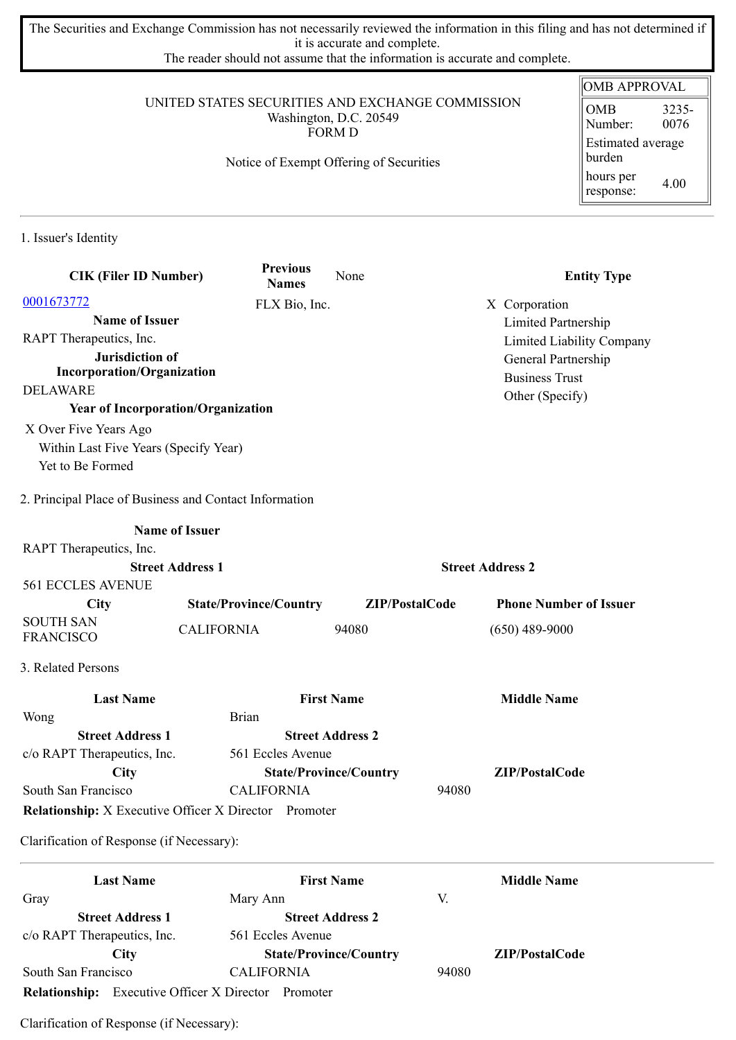The Securities and Exchange Commission has not necessarily reviewed the information in this filing and has not determined if it is accurate and complete.

The reader should not assume that the information is accurate and complete.

#### UNITED STATES SECURITIES AND EXCHANGE COMMISSION Washington, D.C. 20549 FORM D

Notice of Exempt Offering of Securities

| <b>OMB APPROVAL</b>         |               |  |  |
|-----------------------------|---------------|--|--|
| <b>OMB</b><br>Number:       | 3235-<br>0076 |  |  |
| Estimated average<br>burden |               |  |  |
| hours per<br>response:      | 4.00          |  |  |

1. Issuer's Identity

| <b>CIK (Filer ID Number)</b>                           |                               | <b>Previous</b><br><b>Names</b> | None                          |                         | <b>Entity Type</b>            |
|--------------------------------------------------------|-------------------------------|---------------------------------|-------------------------------|-------------------------|-------------------------------|
| 0001673772                                             |                               | FLX Bio, Inc.                   |                               |                         | X Corporation                 |
| <b>Name of Issuer</b>                                  |                               |                                 |                               |                         | Limited Partnership           |
| RAPT Therapeutics, Inc.                                |                               |                                 |                               |                         | Limited Liability Company     |
| Jurisdiction of                                        |                               |                                 |                               |                         | General Partnership           |
| <b>Incorporation/Organization</b>                      |                               |                                 |                               |                         | <b>Business Trust</b>         |
| <b>DELAWARE</b>                                        |                               |                                 |                               |                         | Other (Specify)               |
| <b>Year of Incorporation/Organization</b>              |                               |                                 |                               |                         |                               |
| X Over Five Years Ago                                  |                               |                                 |                               |                         |                               |
| Within Last Five Years (Specify Year)                  |                               |                                 |                               |                         |                               |
| Yet to Be Formed                                       |                               |                                 |                               |                         |                               |
| 2. Principal Place of Business and Contact Information |                               |                                 |                               |                         |                               |
|                                                        | <b>Name of Issuer</b>         |                                 |                               |                         |                               |
| RAPT Therapeutics, Inc.                                |                               |                                 |                               |                         |                               |
|                                                        | <b>Street Address 1</b>       |                                 |                               | <b>Street Address 2</b> |                               |
| <b>561 ECCLES AVENUE</b>                               |                               |                                 |                               |                         |                               |
| <b>City</b>                                            | <b>State/Province/Country</b> |                                 | ZIP/PostalCode                |                         | <b>Phone Number of Issuer</b> |
| <b>SOUTH SAN</b><br><b>FRANCISCO</b>                   | <b>CALIFORNIA</b>             |                                 | 94080                         |                         | $(650)$ 489-9000              |
| 3. Related Persons                                     |                               |                                 |                               |                         |                               |
| <b>Last Name</b>                                       |                               |                                 | <b>First Name</b>             |                         | <b>Middle Name</b>            |
| Wong                                                   | <b>Brian</b>                  |                                 |                               |                         |                               |
| <b>Street Address 1</b>                                |                               |                                 | <b>Street Address 2</b>       |                         |                               |
| c/o RAPT Therapeutics, Inc.                            | 561 Eccles Avenue             |                                 |                               |                         |                               |
| City                                                   |                               |                                 | <b>State/Province/Country</b> |                         | ZIP/PostalCode                |
| South San Francisco                                    | <b>CALIFORNIA</b>             |                                 |                               | 94080                   |                               |
| Relationship: X Executive Officer X Director Promoter  |                               |                                 |                               |                         |                               |
| Clarification of Response (if Necessary):              |                               |                                 |                               |                         |                               |

|                             | <b>Last Name</b>                    | <b>First Name</b>             |       | <b>Middle Name</b>    |
|-----------------------------|-------------------------------------|-------------------------------|-------|-----------------------|
| Gray                        |                                     | Mary Ann                      | V.    |                       |
|                             | <b>Street Address 1</b>             | <b>Street Address 2</b>       |       |                       |
| c/o RAPT Therapeutics, Inc. |                                     | 561 Eccles Avenue             |       |                       |
|                             | <b>City</b>                         | <b>State/Province/Country</b> |       | <b>ZIP/PostalCode</b> |
| South San Francisco         |                                     | <b>CALIFORNIA</b>             | 94080 |                       |
| <b>Relationship:</b>        | <b>Executive Officer X Director</b> | Promoter                      |       |                       |

Clarification of Response (if Necessary):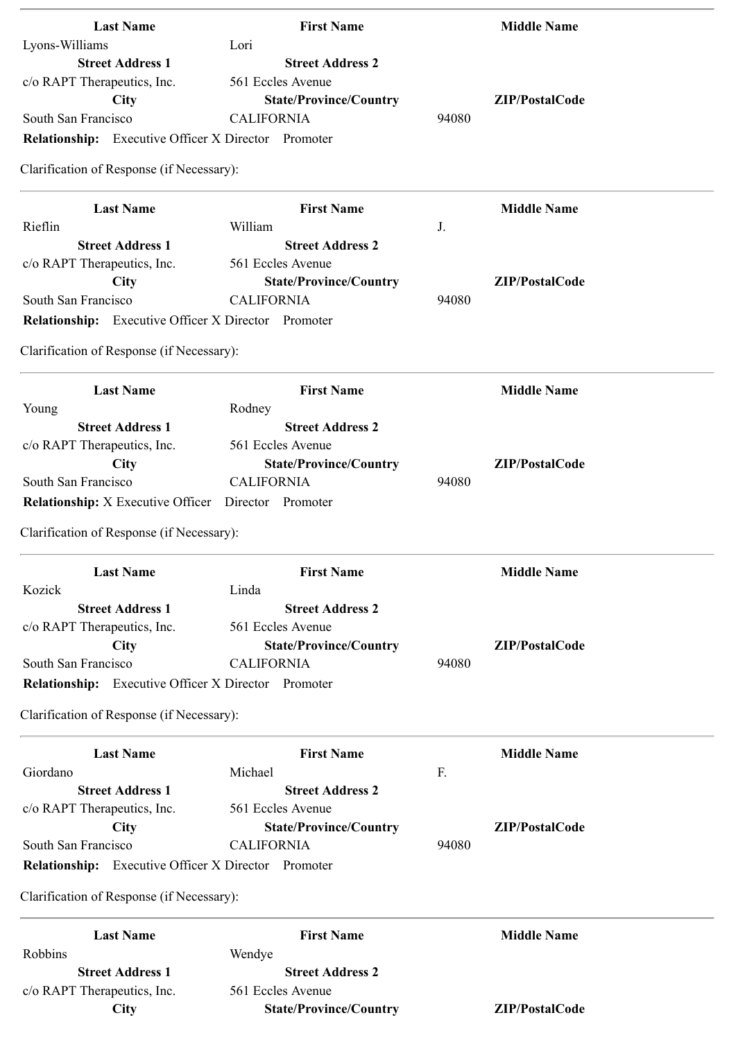| <b>Last Name</b>                                           | <b>First Name</b>             | <b>Middle Name</b> |
|------------------------------------------------------------|-------------------------------|--------------------|
| Lyons-Williams                                             | Lori                          |                    |
| <b>Street Address 1</b>                                    | <b>Street Address 2</b>       |                    |
| c/o RAPT Therapeutics, Inc.                                | 561 Eccles Avenue             |                    |
| <b>City</b>                                                | <b>State/Province/Country</b> | ZIP/PostalCode     |
| South San Francisco                                        | <b>CALIFORNIA</b>             | 94080              |
| <b>Relationship:</b> Executive Officer X Director Promoter |                               |                    |
| Clarification of Response (if Necessary):                  |                               |                    |
|                                                            |                               |                    |
| <b>Last Name</b>                                           | <b>First Name</b>             | <b>Middle Name</b> |
| Rieflin                                                    | William                       | J.                 |
| <b>Street Address 1</b>                                    | <b>Street Address 2</b>       |                    |
| c/o RAPT Therapeutics, Inc.                                | 561 Eccles Avenue             |                    |
| City                                                       | <b>State/Province/Country</b> | ZIP/PostalCode     |
| South San Francisco                                        | <b>CALIFORNIA</b>             | 94080              |
| Relationship: Executive Officer X Director Promoter        |                               |                    |
| Clarification of Response (if Necessary):                  |                               |                    |
| <b>Last Name</b>                                           | <b>First Name</b>             | <b>Middle Name</b> |
| Young                                                      | Rodney                        |                    |
| <b>Street Address 1</b>                                    | <b>Street Address 2</b>       |                    |
| c/o RAPT Therapeutics, Inc.                                | 561 Eccles Avenue             |                    |
| <b>City</b>                                                | <b>State/Province/Country</b> | ZIP/PostalCode     |
| South San Francisco                                        | <b>CALIFORNIA</b>             | 94080              |
| <b>Relationship:</b> X Executive Officer Director Promoter |                               |                    |
|                                                            |                               |                    |
| Clarification of Response (if Necessary):                  |                               |                    |
| <b>Last Name</b>                                           | <b>First Name</b>             | <b>Middle Name</b> |
| Kozick                                                     | Linda                         |                    |
| <b>Street Address 1</b>                                    | <b>Street Address 2</b>       |                    |
| c/o RAPT Therapeutics, Inc.                                | 561 Eccles Avenue             |                    |
| City                                                       | <b>State/Province/Country</b> | ZIP/PostalCode     |
| South San Francisco                                        | <b>CALIFORNIA</b>             | 94080              |
| Relationship: Executive Officer X Director Promoter        |                               |                    |
| Clarification of Response (if Necessary):                  |                               |                    |
|                                                            |                               |                    |
| <b>Last Name</b>                                           | <b>First Name</b>             | <b>Middle Name</b> |
| Giordano                                                   | Michael                       | F.                 |
| <b>Street Address 1</b>                                    | <b>Street Address 2</b>       |                    |
| c/o RAPT Therapeutics, Inc.                                | 561 Eccles Avenue             |                    |
| <b>City</b>                                                | <b>State/Province/Country</b> | ZIP/PostalCode     |
| South San Francisco                                        | <b>CALIFORNIA</b>             | 94080              |
| <b>Relationship:</b> Executive Officer X Director Promoter |                               |                    |
| Clarification of Response (if Necessary):                  |                               |                    |
| <b>Last Name</b>                                           | <b>First Name</b>             | <b>Middle Name</b> |
| Robbins                                                    | Wendye                        |                    |
| <b>Street Address 1</b>                                    | <b>Street Address 2</b>       |                    |
| c/o RAPT Therapeutics, Inc.                                | 561 Eccles Avenue             |                    |
| <b>City</b>                                                | <b>State/Province/Country</b> | ZIP/PostalCode     |
|                                                            |                               |                    |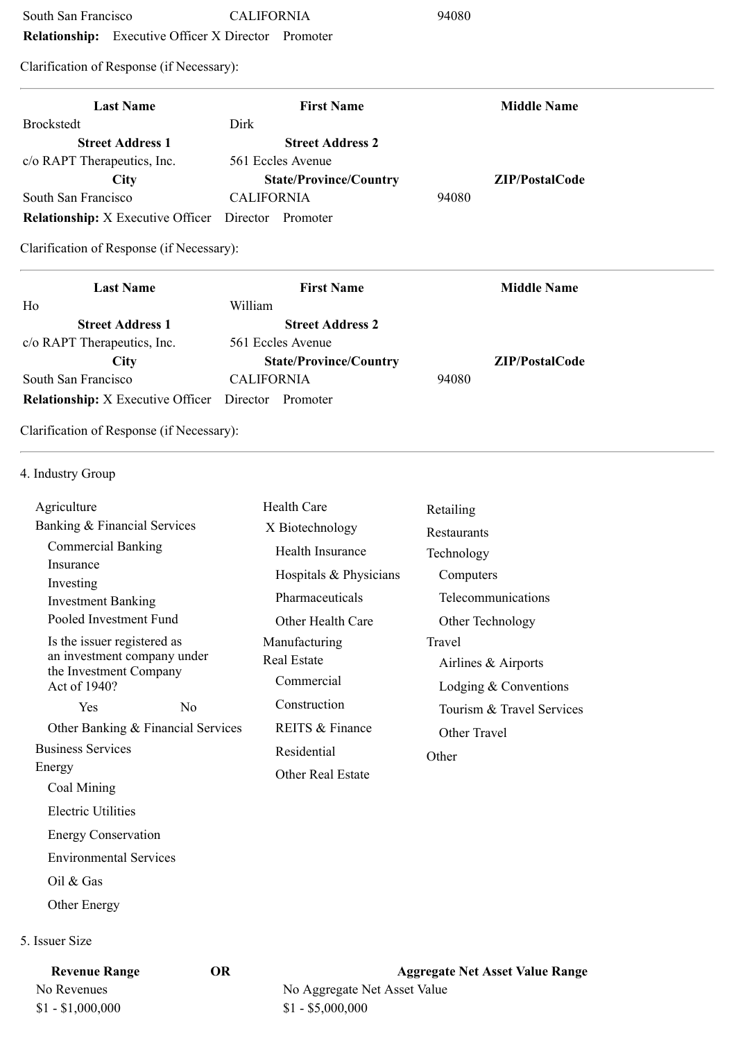# South San Francisco CALIFORNIA 94080

**Relationship:** Executive Officer X Director Promoter

Clarification of Response (if Necessary):

| <b>Last Name</b>                                  | <b>First Name</b>             | <b>Middle Name</b>    |
|---------------------------------------------------|-------------------------------|-----------------------|
| <b>Brockstedt</b>                                 | Dirk                          |                       |
| <b>Street Address 1</b>                           | <b>Street Address 2</b>       |                       |
| c/o RAPT Therapeutics, Inc.                       | 561 Eccles Avenue             |                       |
| <b>City</b>                                       | <b>State/Province/Country</b> | <b>ZIP/PostalCode</b> |
| South San Francisco                               | <b>CALIFORNIA</b>             | 94080                 |
| <b>Relationship:</b> X Executive Officer Director | Promoter                      |                       |

Clarification of Response (if Necessary):

| <b>Last Name</b>                                  | <b>First Name</b>             | <b>Middle Name</b>    |
|---------------------------------------------------|-------------------------------|-----------------------|
| Ho                                                | William                       |                       |
| <b>Street Address 1</b>                           | <b>Street Address 2</b>       |                       |
| c/o RAPT Therapeutics, Inc.                       | 561 Eccles Avenue             |                       |
| <b>City</b>                                       | <b>State/Province/Country</b> | <b>ZIP/PostalCode</b> |
| South San Francisco                               | <b>CALIFORNIA</b>             | 94080                 |
| <b>Relationship:</b> X Executive Officer Director | Promoter                      |                       |

Clarification of Response (if Necessary):

## 4. Industry Group

| Agriculture                            | Health Care              | Retailing                 |
|----------------------------------------|--------------------------|---------------------------|
| Banking & Financial Services           | X Biotechnology          | Restaurants               |
| <b>Commercial Banking</b>              | Health Insurance         | Technology                |
| Insurance                              | Hospitals & Physicians   | Computers                 |
| Investing                              |                          |                           |
| <b>Investment Banking</b>              | Pharmaceuticals          | Telecommunications        |
| Pooled Investment Fund                 | Other Health Care        | Other Technology          |
| Is the issuer registered as            | Manufacturing            | Travel                    |
| an investment company under            | <b>Real Estate</b>       | Airlines & Airports       |
| the Investment Company<br>Act of 1940? | Commercial               | Lodging $&$ Conventions   |
| No.<br><b>Yes</b>                      | Construction             | Tourism & Travel Services |
| Other Banking & Financial Services     | REITS & Finance          | Other Travel              |
| <b>Business Services</b>               | Residential              | Other                     |
| Energy                                 | <b>Other Real Estate</b> |                           |
| Coal Mining                            |                          |                           |
| <b>Electric Utilities</b>              |                          |                           |

Energy Conservation

Environmental Services

- Oil & Gas
- Other Energy
- 5. Issuer Size

| <b>Revenue Range</b> | OR | <b>Aggregate Net Asset Value Range</b> |
|----------------------|----|----------------------------------------|
| No Revenues          |    | No Aggregate Net Asset Value           |
| $$1 - $1,000,000$    |    | $$1 - $5,000,000$                      |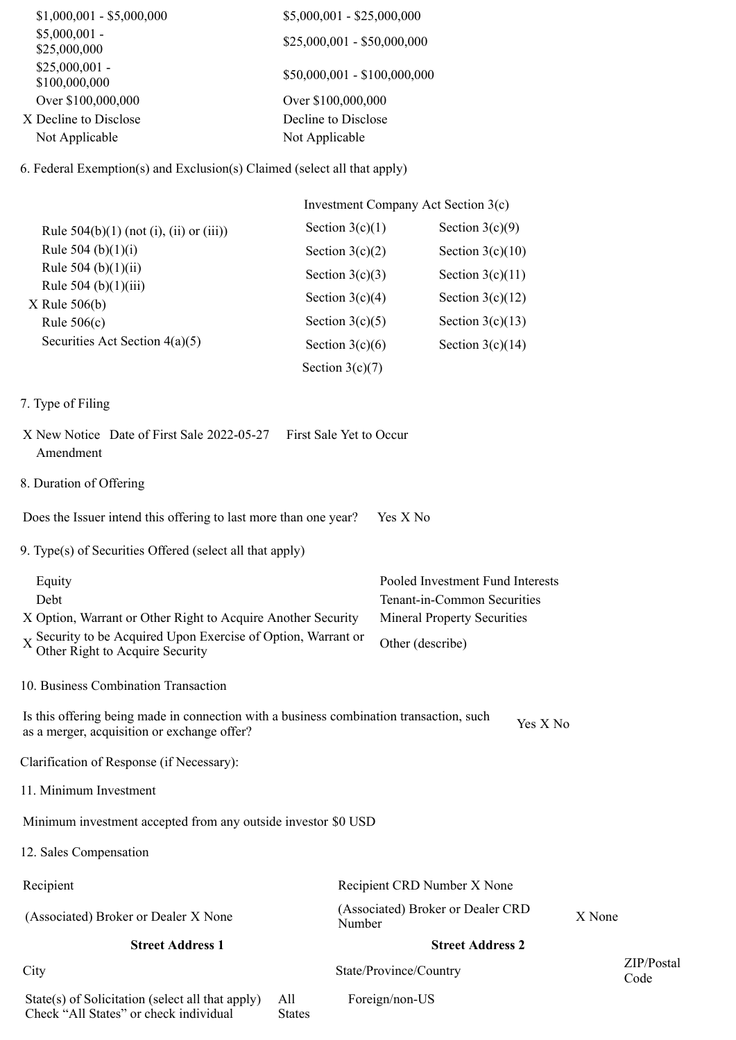| $$1,000,001 - $5,000,000$        | $$5,000,001 - $25,000,000$   |
|----------------------------------|------------------------------|
| $$5,000,001$ -<br>\$25,000,000   | $$25,000,001 - $50,000,000$  |
| $$25,000,001$ -<br>\$100,000,000 | $$50,000,001 - $100,000,000$ |
| Over \$100,000,000               | Over \$100,000,000           |
| X Decline to Disclose            | Decline to Disclose          |
| Not Applicable                   | Not Applicable               |
|                                  |                              |

6. Federal Exemption(s) and Exclusion(s) Claimed (select all that apply)

|                                              | Investment Company Act Section 3(c) |                    |  |
|----------------------------------------------|-------------------------------------|--------------------|--|
| Rule $504(b)(1)$ (not (i), (ii) or (iii))    | Section $3(c)(1)$                   | Section $3(c)(9)$  |  |
| Rule 504 (b) $(1)(i)$                        | Section $3(c)(2)$                   | Section $3(c)(10)$ |  |
| Rule 504 (b) $(1)(ii)$                       | Section $3(c)(3)$                   | Section $3(c)(11)$ |  |
| Rule $504$ (b) $(1)(iii)$<br>$X$ Rule 506(b) | Section $3(c)(4)$                   | Section $3(c)(12)$ |  |
| Rule $506(c)$                                | Section $3(c)(5)$                   | Section $3(c)(13)$ |  |
| Securities Act Section $4(a)(5)$             | Section $3(c)(6)$                   | Section $3(c)(14)$ |  |
|                                              | Section $3(c)(7)$                   |                    |  |

7. Type of Filing

- X New Notice Date of First Sale 2022-05-27 First Sale Yet to Occur Amendment
- 8. Duration of Offering

Does the Issuer intend this offering to last more than one year? Yes X No

9. Type(s) of Securities Offered (select all that apply)

| Equity                                                                                           | Pooled Investment Fund Interests   |
|--------------------------------------------------------------------------------------------------|------------------------------------|
| Debt                                                                                             | Tenant-in-Common Securities        |
| X Option, Warrant or Other Right to Acquire Another Security                                     | <b>Mineral Property Securities</b> |
| X Security to be Acquired Upon Exercise of Option, Warrant or<br>Other Right to Acquire Security | Other (describe)                   |

10. Business Combination Transaction

| Is this offering being made in connection with a business combination transaction, such | Yes X No |
|-----------------------------------------------------------------------------------------|----------|
| as a merger, acquisition or exchange offer?                                             |          |

Clarification of Response (if Necessary):

11. Minimum Investment

Minimum investment accepted from any outside investor \$0 USD

12. Sales Compensation

| Recipient                                                                                  |                      | Recipient CRD Number X None                 |                    |
|--------------------------------------------------------------------------------------------|----------------------|---------------------------------------------|--------------------|
| (Associated) Broker or Dealer X None                                                       |                      | (Associated) Broker or Dealer CRD<br>Number | X None             |
| <b>Street Address 1</b>                                                                    |                      | <b>Street Address 2</b>                     |                    |
| City                                                                                       |                      | State/Province/Country                      | ZIP/Postal<br>Code |
| State(s) of Solicitation (select all that apply)<br>Check "All States" or check individual | All<br><b>States</b> | Foreign/non-US                              |                    |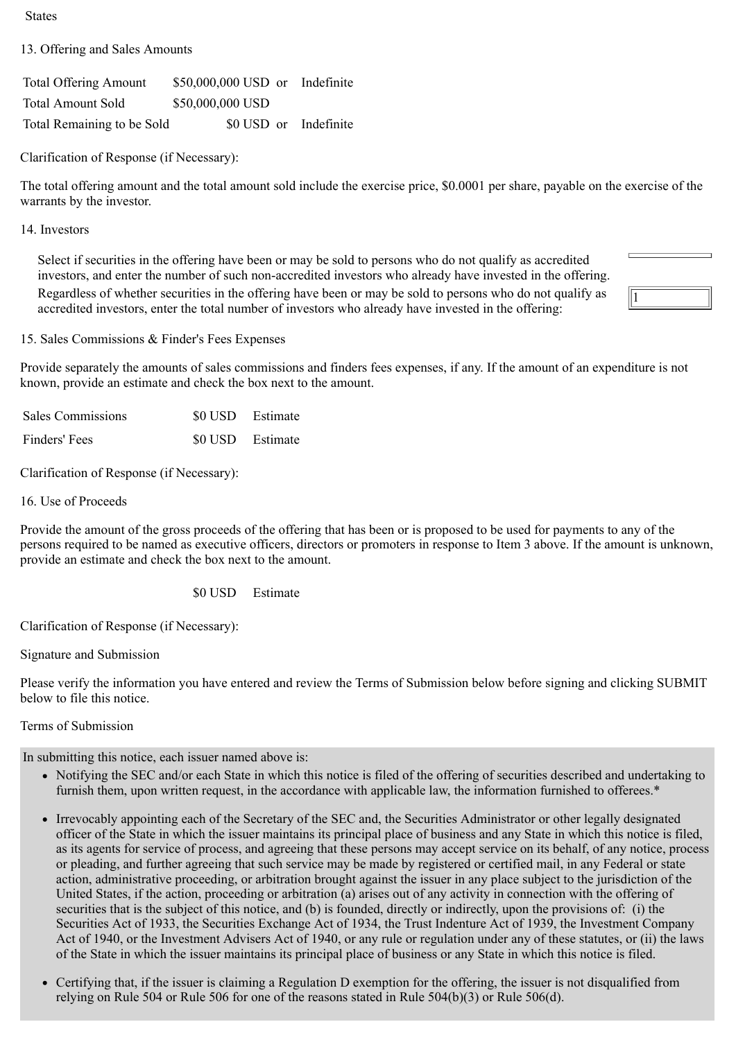States

13. Offering and Sales Amounts

| <b>Total Offering Amount</b> | $$50,000,000$ USD or Indefinite |                       |
|------------------------------|---------------------------------|-----------------------|
| <b>Total Amount Sold</b>     | \$50,000,000 USD                |                       |
| Total Remaining to be Sold   |                                 | \$0 USD or Indefinite |

Clarification of Response (if Necessary):

The total offering amount and the total amount sold include the exercise price, \$0.0001 per share, payable on the exercise of the warrants by the investor.

### 14. Investors

Select if securities in the offering have been or may be sold to persons who do not qualify as accredited investors, and enter the number of such non-accredited investors who already have invested in the offering. Regardless of whether securities in the offering have been or may be sold to persons who do not qualify as accredited investors, enter the total number of investors who already have invested in the offering:

15. Sales Commissions & Finder's Fees Expenses

Provide separately the amounts of sales commissions and finders fees expenses, if any. If the amount of an expenditure is not known, provide an estimate and check the box next to the amount.

| <b>Sales Commissions</b> | \$0 USD Estimate |
|--------------------------|------------------|
| Finders' Fees            | \$0 USD Estimate |

Clarification of Response (if Necessary):

16. Use of Proceeds

Provide the amount of the gross proceeds of the offering that has been or is proposed to be used for payments to any of the persons required to be named as executive officers, directors or promoters in response to Item 3 above. If the amount is unknown, provide an estimate and check the box next to the amount.

## \$0 USD Estimate

Clarification of Response (if Necessary):

Signature and Submission

Please verify the information you have entered and review the Terms of Submission below before signing and clicking SUBMIT below to file this notice.

Terms of Submission

In submitting this notice, each issuer named above is:

- Notifying the SEC and/or each State in which this notice is filed of the offering of securities described and undertaking to furnish them, upon written request, in the accordance with applicable law, the information furnished to offerees.\*
- Irrevocably appointing each of the Secretary of the SEC and, the Securities Administrator or other legally designated officer of the State in which the issuer maintains its principal place of business and any State in which this notice is filed, as its agents for service of process, and agreeing that these persons may accept service on its behalf, of any notice, process or pleading, and further agreeing that such service may be made by registered or certified mail, in any Federal or state action, administrative proceeding, or arbitration brought against the issuer in any place subject to the jurisdiction of the United States, if the action, proceeding or arbitration (a) arises out of any activity in connection with the offering of securities that is the subject of this notice, and (b) is founded, directly or indirectly, upon the provisions of: (i) the Securities Act of 1933, the Securities Exchange Act of 1934, the Trust Indenture Act of 1939, the Investment Company Act of 1940, or the Investment Advisers Act of 1940, or any rule or regulation under any of these statutes, or (ii) the laws of the State in which the issuer maintains its principal place of business or any State in which this notice is filed.
- Certifying that, if the issuer is claiming a Regulation D exemption for the offering, the issuer is not disqualified from relying on Rule 504 or Rule 506 for one of the reasons stated in Rule 504(b)(3) or Rule 506(d).